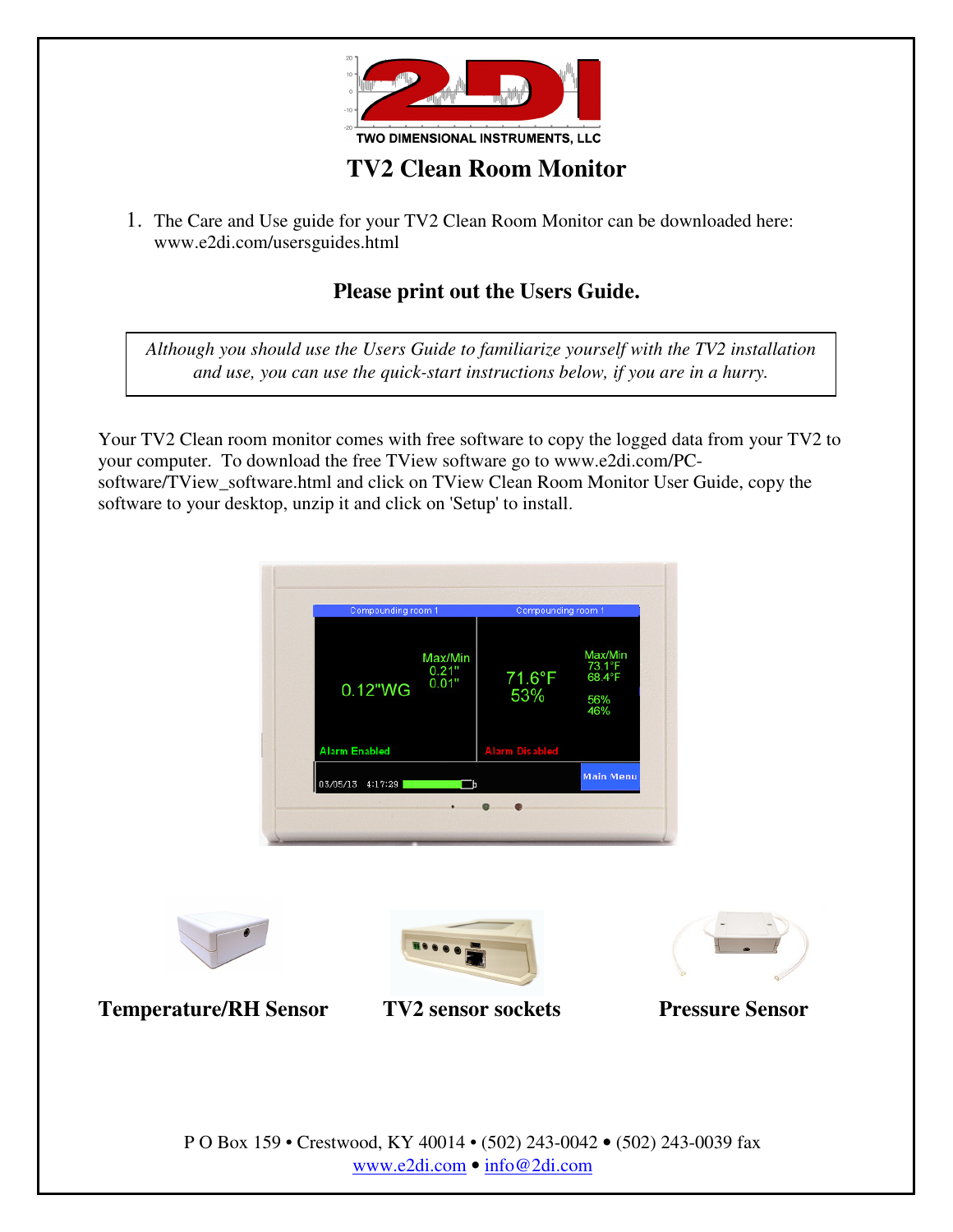

## **TV2 Clean Room Monitor**

1. The Care and Use guide for your TV2 Clean Room Monitor can be downloaded here: www.e2di.com/usersguides.html

### **Please print out the Users Guide.**

*Although you should use the Users Guide to familiarize yourself with the TV2 installation and use, you can use the quick-start instructions below, if you are in a hurry.*

Your TV2 Clean room monitor comes with free software to copy the logged data from your TV2 to your computer. To download the free TView software go to www.e2di.com/PCsoftware/TView\_software.html and click on TView Clean Room Monitor User Guide, copy the software to your desktop, unzip it and click on 'Setup' to install.









**Temperature/RH Sensor TV2 sensor sockets Pressure Sensor** 

P O Box 159 • Crestwood, KY 40014 • (502) 243-0042 • (502) 243-0039 fax www.e2di.com • info@2di.com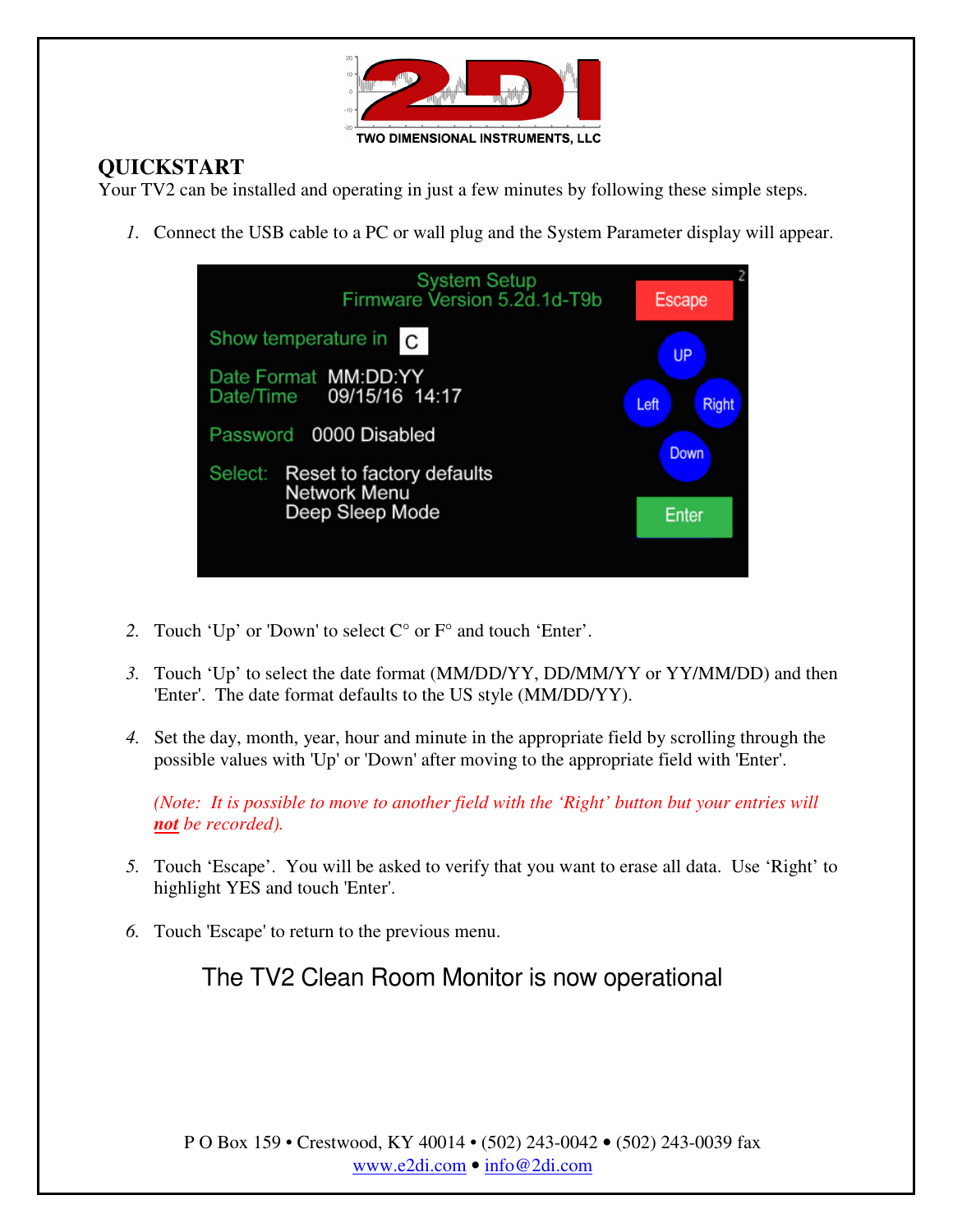

#### **QUICKSTART**

Your TV2 can be installed and operating in just a few minutes by following these simple steps.

*1.* Connect the USB cable to a PC or wall plug and the System Parameter display will appear.

| <b>System Setup</b><br>Firmware Version 5.2d.1d-T9b         | <b>Escape</b> |           |       |
|-------------------------------------------------------------|---------------|-----------|-------|
| Show temperature in C                                       |               | <b>UP</b> |       |
| Date Format MM:DD:YY<br>Date/Time 09/15/16 14:17            | Left          |           | Right |
| Password 0000 Disabled                                      | Down          |           |       |
| Select:<br>Reset to factory defaults<br><b>Network Menu</b> |               |           |       |
| Deep Sleep Mode                                             | Enter         |           |       |
|                                                             |               |           |       |

- *2.* Touch 'Up' or 'Down' to select C° or F° and touch 'Enter'.
- *3.* Touch 'Up' to select the date format (MM/DD/YY, DD/MM/YY or YY/MM/DD) and then 'Enter'. The date format defaults to the US style (MM/DD/YY).
- *4.* Set the day, month, year, hour and minute in the appropriate field by scrolling through the possible values with 'Up' or 'Down' after moving to the appropriate field with 'Enter'.

*(Note: It is possible to move to another field with the 'Right' button but your entries will not be recorded).* 

- *5.* Touch 'Escape'. You will be asked to verify that you want to erase all data. Use 'Right' to highlight YES and touch 'Enter'.
- *6.* Touch 'Escape' to return to the previous menu.

The TV2 Clean Room Monitor is now operational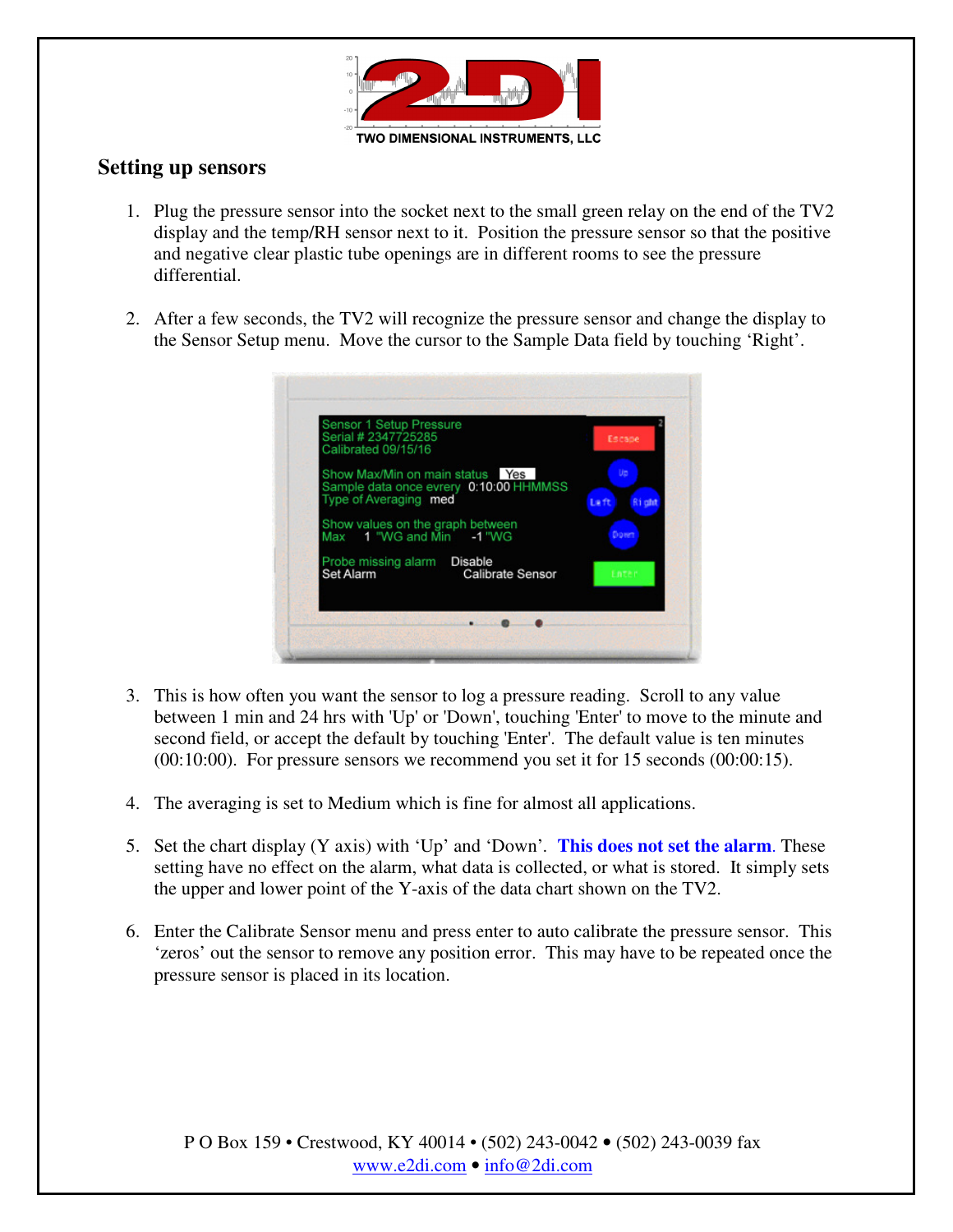

#### **Setting up sensors**

- 1. Plug the pressure sensor into the socket next to the small green relay on the end of the TV2 display and the temp/RH sensor next to it. Position the pressure sensor so that the positive and negative clear plastic tube openings are in different rooms to see the pressure differential.
- 2. After a few seconds, the TV2 will recognize the pressure sensor and change the display to the Sensor Setup menu. Move the cursor to the Sample Data field by touching 'Right'.

| Serial # 2347725285<br>Calibrated 09/15/16                   |                                        | Escape                     |
|--------------------------------------------------------------|----------------------------------------|----------------------------|
| Show Max/Min on main status Yes<br>Type of Averaging med     | Sample data once evrery 0:10:00 HHMMSS | Up<br>Laft<br><b>Right</b> |
| Show values on the graph between<br>Max 1 "WG and Min -1 "WG |                                        | Down                       |
| Probe missing alarm Disable<br>Set Alarm                     | Calibrate Sensor                       | Enter                      |

- 3. This is how often you want the sensor to log a pressure reading. Scroll to any value between 1 min and 24 hrs with 'Up' or 'Down', touching 'Enter' to move to the minute and second field, or accept the default by touching 'Enter'. The default value is ten minutes (00:10:00). For pressure sensors we recommend you set it for 15 seconds (00:00:15).
- 4. The averaging is set to Medium which is fine for almost all applications.
- 5. Set the chart display (Y axis) with 'Up' and 'Down'*.* **This does not set the alarm**. These setting have no effect on the alarm, what data is collected, or what is stored. It simply sets the upper and lower point of the Y-axis of the data chart shown on the TV2.
- 6. Enter the Calibrate Sensor menu and press enter to auto calibrate the pressure sensor. This 'zeros' out the sensor to remove any position error. This may have to be repeated once the pressure sensor is placed in its location.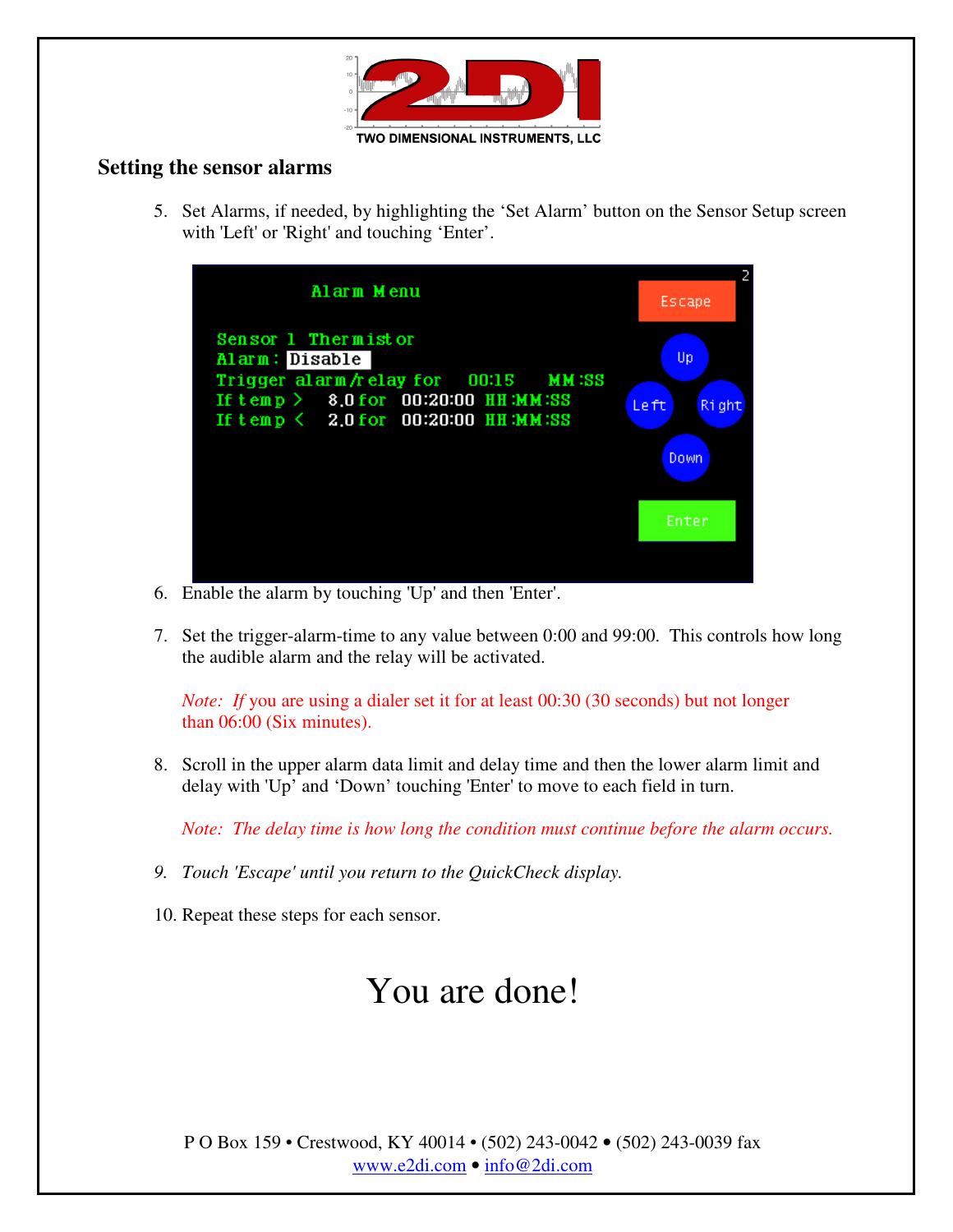

#### **Setting the sensor alarms**

5. Set Alarms, if needed, by highlighting the 'Set Alarm' button on the Sensor Setup screen with 'Left' or 'Right' and touching 'Enter'.



- 6. Enable the alarm by touching 'Up' and then 'Enter'.
- 7. Set the trigger-alarm-time to any value between 0:00 and 99:00. This controls how long the audible alarm and the relay will be activated.

*Note: If you are using a dialer set it for at least 00:30 (30 seconds) but not longer* than 06:00 (Six minutes).

8. Scroll in the upper alarm data limit and delay time and then the lower alarm limit and delay with 'Up' and 'Down' touching 'Enter' to move to each field in turn.

*Note: The delay time is how long the condition must continue before the alarm occurs.*

- *9. Touch 'Escape' until you return to the QuickCheck display.*
- 10. Repeat these steps for each sensor.

# You are done!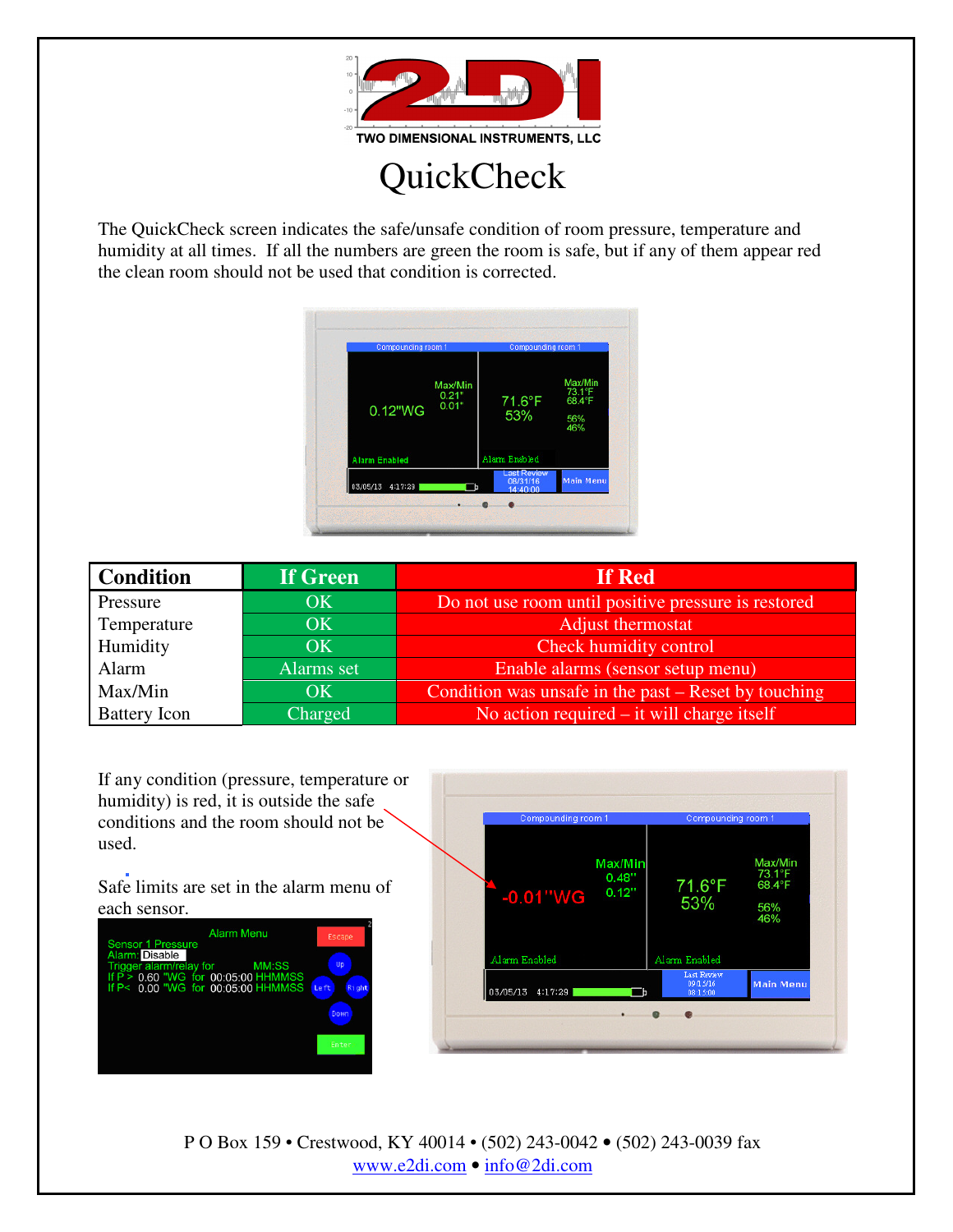

**QuickCheck** 

The QuickCheck screen indicates the safe/unsafe condition of room pressure, temperature and humidity at all times. If all the numbers are green the room is safe, but if any of them appear red the clean room should not be used that condition is corrected.



| <b>Condition</b>    | If Green   | If Red                                               |
|---------------------|------------|------------------------------------------------------|
| Pressure            | OK         | Do not use room until positive pressure is restored  |
| Temperature         | <b>OK</b>  | Adjust thermostat                                    |
| Humidity            | OK         | Check humidity control                               |
| Alarm               | Alarms set | Enable alarms (sensor setup menu)                    |
| Max/Min             | <b>OK</b>  | Condition was unsafe in the past – Reset by touching |
| <b>Battery</b> Icon | Charged    | No action required $-$ it will charge itself         |

If any condition (pressure, temperature or humidity) is red, it is outside the safe conditions and the room should not be used.

Safe limits are set in the alarm menu of each sensor.





P O Box 159 • Crestwood, KY 40014 • (502) 243-0042 • (502) 243-0039 fax www.e2di.com • info@2di.com